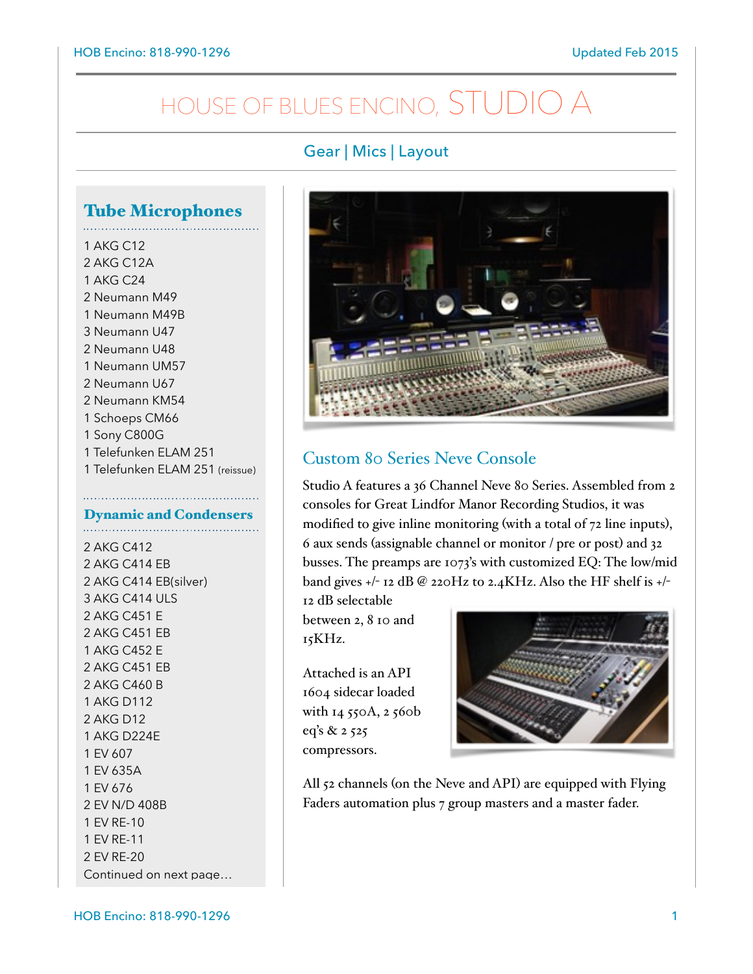# HOUSE OF BLUES ENCINO, STUDIO A

### Gear | Mics | Layout

# Tube Microphones

1 AKG C12 2 AKG C12A 1 AKG C24 2 Neumann M49 1 Neumann M49B 3 Neumann U47 2 Neumann U48 1 Neumann UM57 2 Neumann U67 2 Neumann KM54 1 Schoeps CM66 1 Sony C800G 1 Telefunken ELAM 251 1 Telefunken ELAM 251 (reissue)

#### Dynamic and Condensers

2 AKG C412 2 AKG C414 EB 2 AKG C414 EB(silver) 3 AKG C414 ULS 2 AKG C451 E 2 AKG C451 EB 1 AKG C452 E 2 AKG C451 EB 2 AKG C460 B 1 AKG D112 2 AKG D12 1 AKG D224E 1 EV 607 1 EV 635A 1 EV 676 2 EV N/D 408B 1 EV RE-10 1 EV RE-11 2 EV RE-20 Continued on next page…



### Custom 80 Series Neve Console

Studio A features a 36 Channel Neve 80 Series. Assembled from 2 consoles for Great Lindfor Manor Recording Studios, it was modified to give inline monitoring (with a total of 72 line inputs), 6 aux sends (assignable channel or monitor / pre or post) and 32 busses. The preamps are 1073's with customized EQ: The low/mid band gives +/- 12 dB @ 220Hz to 2.4KHz. Also the HF shelf is +/-

12 dB selectable between 2, 8 10 and 15KHz.

Attached is an API 1604 sidecar loaded with 14 550A, 2 560b eq's & 2 525 compressors.



All 52 channels (on the Neve and API) are equipped with Flying Faders automation plus 7 group masters and a master fader.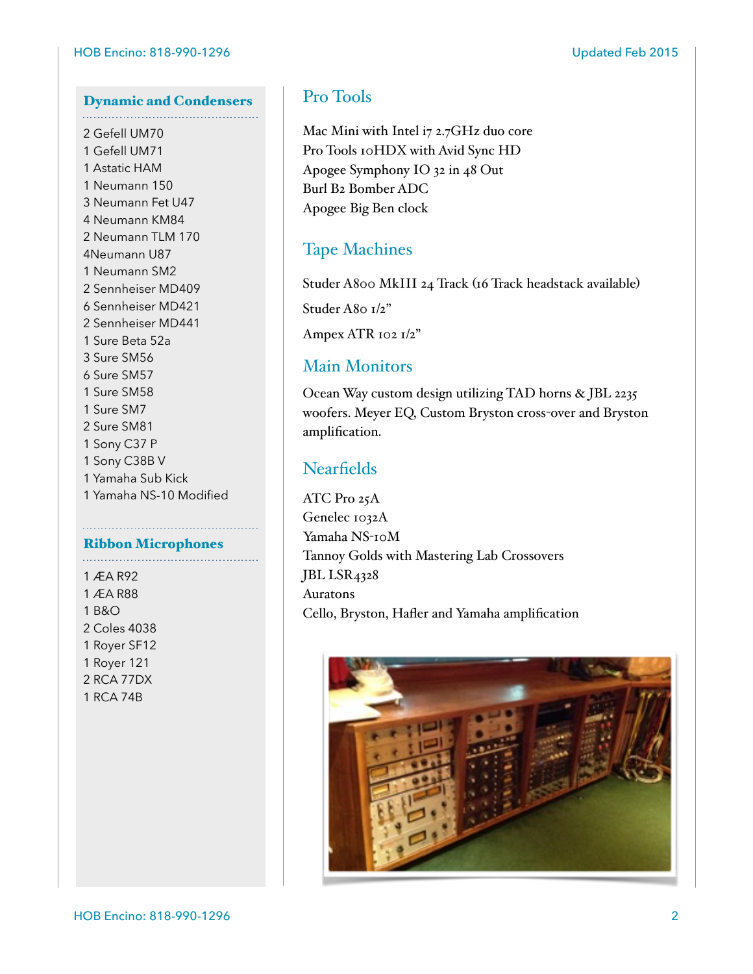## Dynamic and Condensers

2 Gefell UM70 1 Gefell UM71 1 Astatic HAM 1 Neumann 150 3 Neumann Fet U47 4 Neumann KM84 2 Neumann TLM 170 4Neumann U87 1 Neumann SM2 2 Sennheiser MD409 6 Sennheiser MD421 2 Sennheiser MD441 1 Sure Beta 52a 3 Sure SM56 6 Sure SM57 1 Sure SM58 1 Sure SM7 2 Sure SM81 1 Sony C37 P 1 Sony C38B V 1 Yamaha Sub Kick 1 Yamaha NS-10 Modified

#### Ribbon Microphones

1 ÆA R92 1 ÆA R88 1 B&O 2 Coles 4038 1 Royer SF12 1 Royer 121 2 RCA 77DX 1 RCA 74B

### Pro Tools

Mac Mini with Intel i7 2.7GHz duo core Pro Tools 10HDX with Avid Sync HD Apogee Symphony IO 32 in 48 Out Burl B2 Bomber ADC Apogee Big Ben clock

### Tape Machines

Studer A800 MkIII 24 Track (16 Track headstack available)

Studer A80  $I/z$ "

Ampex ATR 102 1/2"

### Main Monitors

Ocean Way custom design utilizing TAD horns & JBL 2235 woofers. Meyer EQ, Custom Bryston cross-over and Bryston amplification.

### **Nearfields**

ATC Pro 25A Genelec 1032A Yamaha NS-10M Tannoy Golds with Mastering Lab Crossovers JBL LSR4328 Auratons Cello, Bryston, Hafler and Yamaha amplification

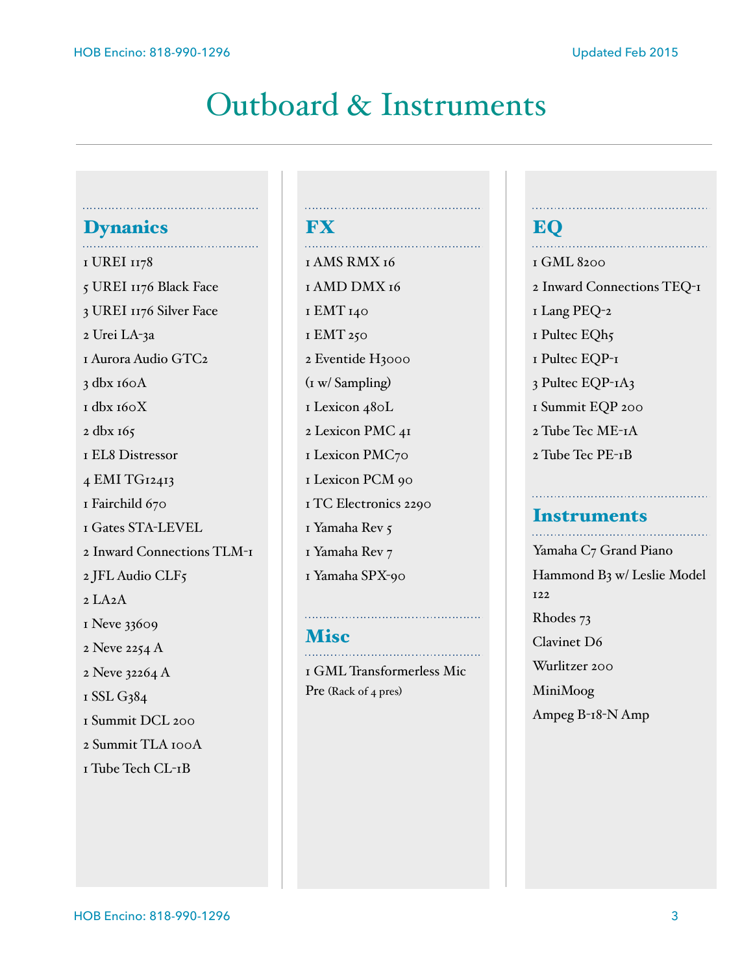# Outboard & Instruments

**FX** 

### **Dynanics**

1 UREI 1178 5 UREI 1176 Black Face 3 UREI 1176 Silver Face 2 Urei LA-3a 1 Aurora Audio GTC2 3 dbx 160A 1 dbx 160X 2 dbx 165 1 EL8 Distressor 4 EMI TG12413 1 Fairchild 670 1 Gates STA-LEVEL 2 Inward Connections TLM-1 2 JFL Audio CLF5  $2$  LA $2A$ 1 Neve 33609 2 Neve 2254 A 2 Neve 32264 A 1 SSL G384 1 Summit DCL 200 2 Summit TLA 100A 1 Tube Tech CL-1B

## 1 AMS RMX 16 1 AMD DMX 16 1 EMT 140 1 EMT 250 2 Eventide H3000 (1 w/ Sampling) 1 Lexicon 480L 2 Lexicon PMC 41 1 Lexicon PMC70 1 Lexicon PCM 90 1 TC Electronics 2290 1 Yamaha Rev 5 1 Yamaha Rev 7 1 Yamaha SPX-90

## **Misc** 2008

1 GML Transformerless Mic Pre (Rack of 4 pres)

#### EQ . . . . . . . . . . .

1 GML 8200 2 Inward Connections TEQ-1 1 Lang PEQ-2 1 Pultec EQh5 1 Pultec EQP-1 3 Pultec EQP-1A3 1 Summit EQP 200 2 Tube Tec ME-1A 2 Tube Tec PE-1B

## Instruments

Yamaha C7 Grand Piano Hammond B3 w/ Leslie Model 122 Rhodes 73 Clavinet D6 Wurlitzer 200 MiniMoog Ampeg B-18-N Amp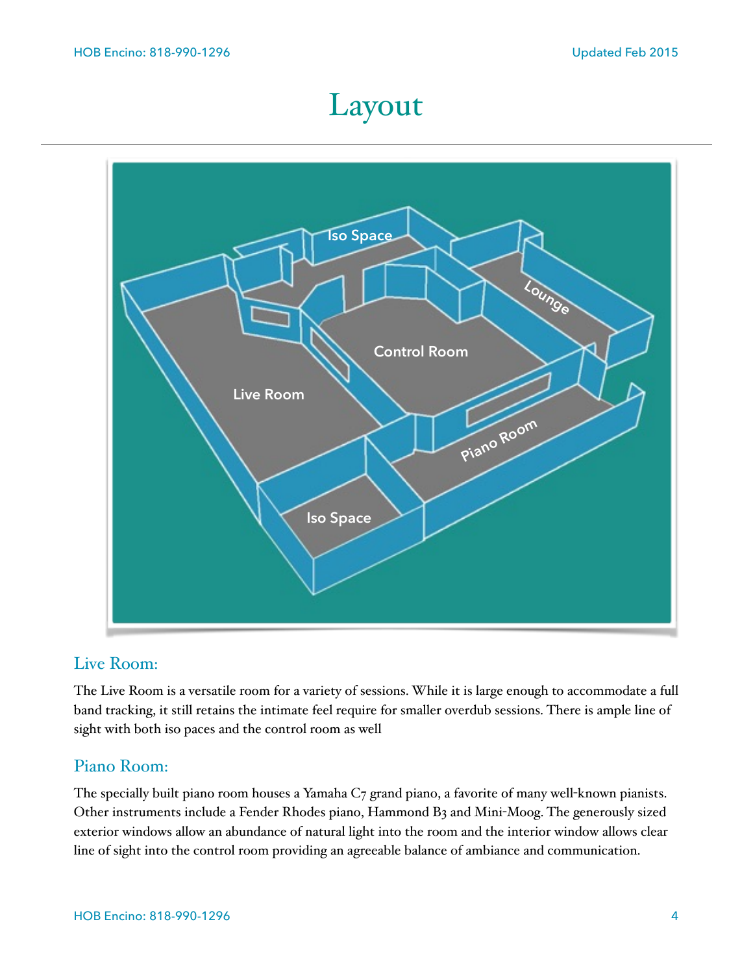# Layout



### Live Room:

The Live Room is a versatile room for a variety of sessions. While it is large enough to accommodate a full band tracking, it still retains the intimate feel require for smaller overdub sessions. There is ample line of sight with both iso paces and the control room as well

### Piano Room:

The specially built piano room houses a Yamaha C7 grand piano, a favorite of many well-known pianists. Other instruments include a Fender Rhodes piano, Hammond B3 and Mini-Moog. The generously sized exterior windows allow an abundance of natural light into the room and the interior window allows clear line of sight into the control room providing an agreeable balance of ambiance and communication.